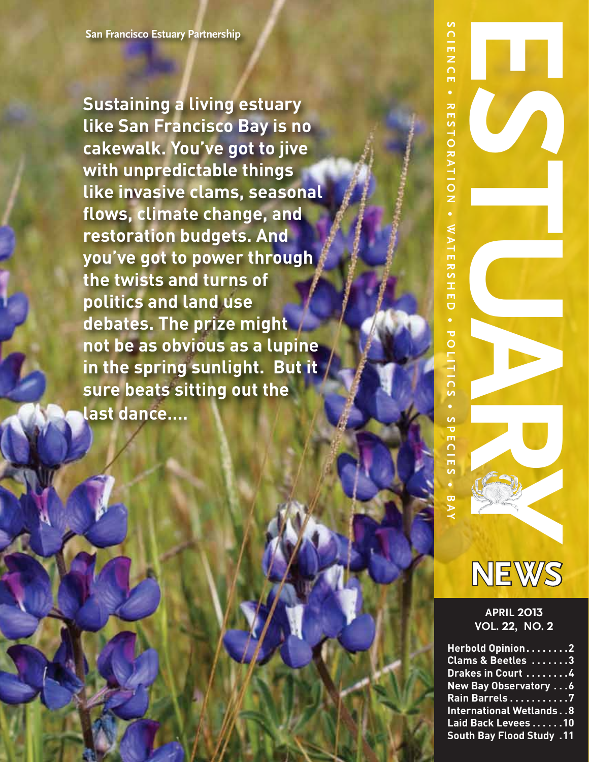**Sustaining a living estuary like San Francisco Bay is no cakewalk . You've got to jive with unpredictable things like invasive clams, seasonal flows, climate change, and restoration budgets . And you've got to power through the twists and turns of politics and land use debates . The prize might not be as obvious as a lupine in the spring sunlight . But it sure beats sitting out the last dance… .**



# **APRIL 2013 VOL. 22, NO. 2**

| Herbold Opinion2                 |
|----------------------------------|
| <b>Clams &amp; Beetles</b> 3     |
| Drakes in Court 4                |
| New Bay Observatory 6            |
| <u> Rain Barrels 7</u>           |
| <b>International Wetlands8</b>   |
| Laid Back Levees 10              |
| <b>South Bay Flood Study .11</b> |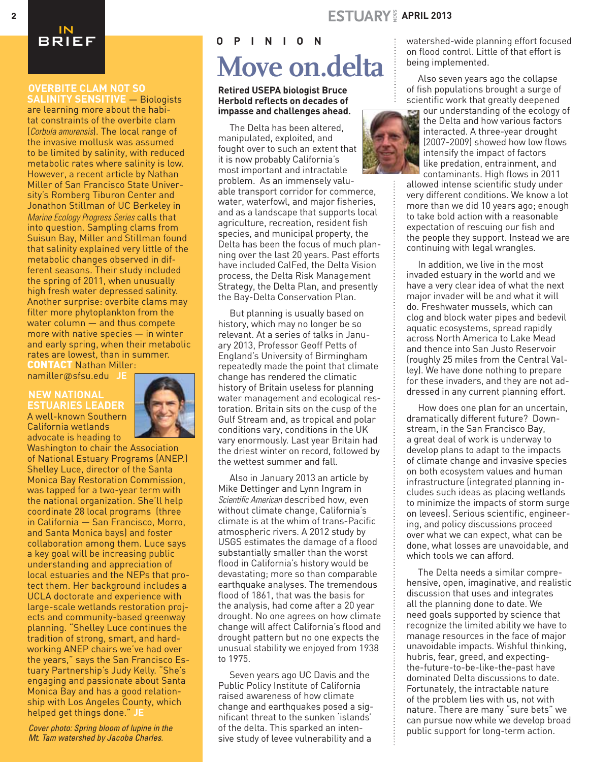### **ESTUARY**<sup>&</sup> APRIL 2013



#### **Overbite Clam Not so SALINITY SENSITIVE** — Biologists

are learning more about the habitat constraints of the overbite clam (*Corbula amurensis*). The local range of the invasive mollusk was assumed to be limited by salinity, with reduced metabolic rates where salinity is low. However, a recent article by Nathan Miller of San Francisco State University's Romberg Tiburon Center and Jonathon Stillman of UC Berkeley in *Marine Ecology Progress Series* calls that into question. Sampling clams from Suisun Bay, Miller and Stillman found that salinity explained very little of the metabolic changes observed in different seasons. Their study included the spring of 2011, when unusually high fresh water depressed salinity. Another surprise: overbite clams may filter more phytoplankton from the water column — and thus compete more with native species — in winter and early spring, when their metabolic rates are lowest, than in summer. CONTACT Nathan Miller: namiller@sfsu.edu **JE**

#### **New National Estuaries Leader** A well-known Southern



California wetlands advocate is heading to Washington to chair the Association of National Estuary Programs (ANEP.) Shelley Luce, director of the Santa Monica Bay Restoration Commission, was tapped for a two-year term with the national organization. She'll help coordinate 28 local programs (three in California — San Francisco, Morro, and Santa Monica bays) and foster collaboration among them. Luce says a key goal will be increasing public understanding and appreciation of local estuaries and the NEPs that protect them. Her background includes a

UCLA doctorate and experience with large-scale wetlands restoration projects and community-based greenway planning. "Shelley Luce continues the tradition of strong, smart, and hardworking ANEP chairs we've had over the years," says the San Francisco Estuary Partnership's Judy Kelly. "She's engaging and passionate about Santa Monica Bay and has a good relationship with Los Angeles County, which helped get things done." **JE**

*Cover photo: Spring bloom of lupine in the Mt. Tam watershed by Jacoba Charles.*

# **opinion Move on.delta**

#### **Retired USEPA biologist Bruce Herbold reflects on decades of impasse and challenges ahead.**

The Delta has been altered, manipulated, exploited, and fought over to such an extent that it is now probably California's most important and intractable problem. As an immensely valuable transport corridor for commerce, water, waterfowl, and major fisheries, and as a landscape that supports local agriculture, recreation, resident fish species, and municipal property, the Delta has been the focus of much planning over the last 20 years. Past efforts have included CalFed, the Delta Vision process, the Delta Risk Management Strategy, the Delta Plan, and presently the Bay-Delta Conservation Plan.

But planning is usually based on history, which may no longer be so relevant. At a series of talks in January 2013, Professor Geoff Petts of England's University of Birmingham repeatedly made the point that climate change has rendered the climatic history of Britain useless for planning water management and ecological restoration. Britain sits on the cusp of the Gulf Stream and, as tropical and polar conditions vary, conditions in the UK vary enormously. Last year Britain had the driest winter on record, followed by the wettest summer and fall.

Also in January 2013 an article by Mike Dettinger and Lynn Ingram in *Scientific American* described how, even without climate change, California's climate is at the whim of trans-Pacific atmospheric rivers. A 2012 study by USGS estimates the damage of a flood substantially smaller than the worst flood in California's history would be devastating; more so than comparable earthquake analyses. The tremendous flood of 1861, that was the basis for the analysis, had come after a 20 year drought. No one agrees on how climate change will affect California's flood and drought pattern but no one expects the unusual stability we enjoyed from 1938 to 1975.

Seven years ago UC Davis and the Public Policy Institute of California raised awareness of how climate change and earthquakes posed a significant threat to the sunken 'islands' of the delta. This sparked an intensive study of levee vulnerability and a

watershed-wide planning effort focused on flood control. Little of that effort is being implemented.

Also seven years ago the collapse of fish populations brought a surge of scientific work that greatly deepened

> our understanding of the ecology of the Delta and how various factors interacted. A three-year drought (2007-2009) showed how low flows intensify the impact of factors like predation, entrainment, and contaminants. High flows in 2011

allowed intense scientific study under very different conditions. We know a lot more than we did 10 years ago; enough to take bold action with a reasonable expectation of rescuing our fish and the people they support. Instead we are continuing with legal wrangles.

In addition, we live in the most invaded estuary in the world and we have a very clear idea of what the next major invader will be and what it will do. Freshwater mussels, which can clog and block water pipes and bedevil aquatic ecosystems, spread rapidly across North America to Lake Mead and thence into San Justo Reservoir (roughly 25 miles from the Central Valley). We have done nothing to prepare for these invaders, and they are not addressed in any current planning effort.

How does one plan for an uncertain, dramatically different future? Downstream, in the San Francisco Bay, a great deal of work is underway to develop plans to adapt to the impacts of climate change and invasive species on both ecosystem values and human infrastructure (integrated planning includes such ideas as placing wetlands to minimize the impacts of storm surge on levees). Serious scientific, engineering, and policy discussions proceed over what we can expect, what can be done, what losses are unavoidable, and which tools we can afford.

The Delta needs a similar comprehensive, open, imaginative, and realistic discussion that uses and integrates all the planning done to date. We need goals supported by science that recognize the limited ability we have to manage resources in the face of major unavoidable impacts. Wishful thinking, hubris, fear, greed, and expectingthe-future-to-be-like-the-past have dominated Delta discussions to date. Fortunately, the intractable nature of the problem lies with us, not with nature. There are many "sure bets" we can pursue now while we develop broad public support for long-term action.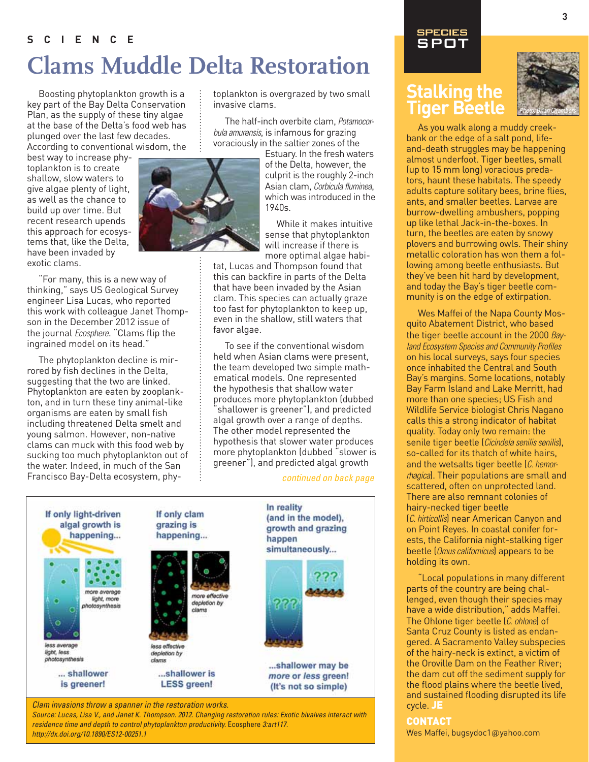# **SCIENCE Clams Muddle Delta Restoration**

Boosting phytoplankton growth is a key part of the Bay Delta Conservation Plan, as the supply of these tiny algae at the base of the Delta's food web has plunged over the last few decades. According to conventional wisdom, the

best way to increase phytoplankton is to create shallow, slow waters to give algae plenty of light, as well as the chance to build up over time. But recent research upends this approach for ecosystems that, like the Delta, have been invaded by exotic clams.

"For many, this is a new way of thinking," says US Geological Survey engineer Lisa Lucas, who reported this work with colleague Janet Thompson in the December 2012 issue of the journal *Ecosphere*. "Clams flip the ingrained model on its head."

The phytoplankton decline is mirrored by fish declines in the Delta, suggesting that the two are linked. Phytoplankton are eaten by zooplankton, and in turn these tiny animal-like organisms are eaten by small fish including threatened Delta smelt and young salmon. However, non-native clams can muck with this food web by sucking too much phytoplankton out of the water. Indeed, in much of the San Francisco Bay-Delta ecosystem, phy-

toplankton is overgrazed by two small invasive clams.

The half-inch overbite clam, *Potamocorbula amurensis*, is infamous for grazing voraciously in the saltier zones of the

> Estuary. In the fresh waters of the Delta, however, the culprit is the roughly 2-inch Asian clam, *Corbicula fluminea*, which was introduced in the 1940s.

While it makes intuitive sense that phytoplankton will increase if there is more optimal algae habi-

tat, Lucas and Thompson found that this can backfire in parts of the Delta that have been invaded by the Asian clam. This species can actually graze too fast for phytoplankton to keep up, even in the shallow, still waters that favor algae.

To see if the conventional wisdom held when Asian clams were present, the team developed two simple mathematical models. One represented the hypothesis that shallow water produces more phytoplankton (dubbed "shallower is greener"), and predicted algal growth over a range of depths. The other model represented the hypothesis that slower water produces more phytoplankton (dubbed "slower is greener"), and predicted algal growth

*continued on back page* 



*Clam invasions throw a spanner in the restoration works.* 

*Source: Lucas, Lisa V., and Janet K. Thompson. 2012. Changing restoration rules: Exotic bivalves interact with residence time and depth to control phytoplankton productivity.* Ecosphere 3:art117. *http://dx.doi.org/10.1890/ES12-00251.1*

# **SPECIES<br>SPOT**

# **Stalking the Tiger Beetle**

As you walk along a muddy creekbank or the edge of a salt pond, lifeand-death struggles may be happening almost underfoot. Tiger beetles, small (up to 15 mm long) voracious predators, haunt these habitats. The speedy adults capture solitary bees, brine flies, ants, and smaller beetles. Larvae are burrow-dwelling ambushers, popping up like lethal Jack-in-the-boxes. In turn, the beetles are eaten by snowy plovers and burrowing owls. Their shiny metallic coloration has won them a following among beetle enthusiasts. But they've been hit hard by development, and today the Bay's tiger beetle community is on the edge of extirpation.

Wes Maffei of the Napa County Mosquito Abatement District, who based the tiger beetle account in the 2000 *Bayland Ecosystem Species and Community Profiles* on his local surveys, says four species once inhabited the Central and South Bay's margins. Some locations, notably Bay Farm Island and Lake Merritt, had more than one species; US Fish and Wildlife Service biologist Chris Nagano calls this a strong indicator of habitat quality. Today only two remain: the senile tiger beetle (*Cicindela senilis senilis*), so-called for its thatch of white hairs, and the wetsalts tiger beetle (*C. hemorrhagica*). Their populations are small and scattered, often on unprotected land. There are also remnant colonies of hairy-necked tiger beetle (*C. hirticollis*) near American Canyon and on Point Reyes. In coastal conifer forests, the California night-stalking tiger beetle (*Omus californicus*) appears to be holding its own.

"Local populations in many different parts of the country are being challenged, even though their species may have a wide distribution," adds Maffei. The Ohlone tiger beetle (*C. ohlone*) of Santa Cruz County is listed as endangered. A Sacramento Valley subspecies of the hairy-neck is extinct, a victim of the Oroville Dam on the Feather River; the dam cut off the sediment supply for the flood plains where the beetle lived, and sustained flooding disrupted its life cycle. JE

#### **CONTACT**

Wes Maffei, bugsydoc1@yahoo.com

*Photo: Brian Chambers*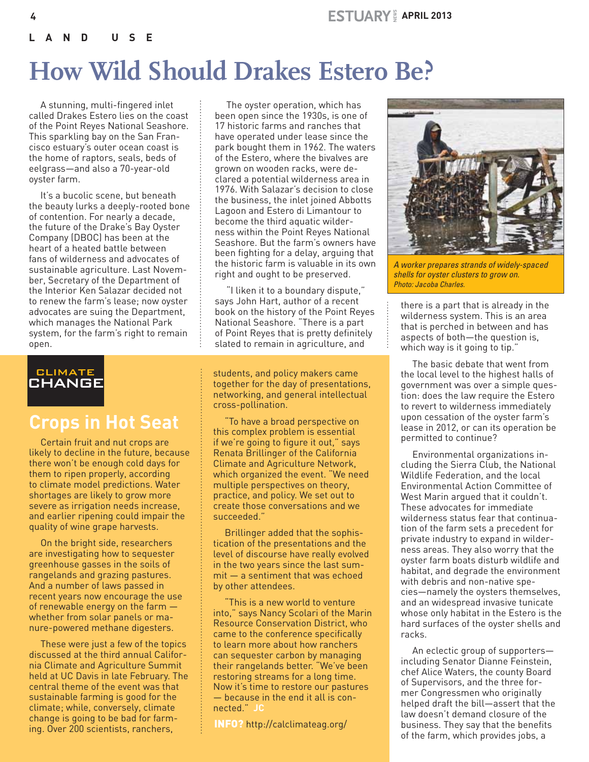**land u s e**

# **How Wild Should Drakes Estero Be?**

A stunning, multi-fingered inlet called Drakes Estero lies on the coast of the Point Reyes National Seashore. This sparkling bay on the San Francisco estuary's outer ocean coast is the home of raptors, seals, beds of eelgrass—and also a 70-year-old oyster farm.

It's a bucolic scene, but beneath the beauty lurks a deeply-rooted bone of contention. For nearly a decade, the future of the Drake's Bay Oyster Company (DBOC) has been at the heart of a heated battle between fans of wilderness and advocates of sustainable agriculture. Last November, Secretary of the Department of the Interior Ken Salazar decided not to renew the farm's lease; now oyster advocates are suing the Department, which manages the National Park system, for the farm's right to remain open.

### **CLIMATE** CHANGE

# **Crops in Hot Seat**

Certain fruit and nut crops are likely to decline in the future, because there won't be enough cold days for them to ripen properly, according to climate model predictions. Water shortages are likely to grow more severe as irrigation needs increase, and earlier ripening could impair the quality of wine grape harvests.

On the bright side, researchers are investigating how to sequester greenhouse gasses in the soils of rangelands and grazing pastures. And a number of laws passed in recent years now encourage the use of renewable energy on the farm whether from solar panels or manure-powered methane digesters.

These were just a few of the topics discussed at the third annual California Climate and Agriculture Summit held at UC Davis in late February. The central theme of the event was that sustainable farming is good for the climate; while, conversely, climate change is going to be bad for farming. Over 200 scientists, ranchers,

The oyster operation, which has been open since the 1930s, is one of 17 historic farms and ranches that have operated under lease since the park bought them in 1962. The waters of the Estero, where the bivalves are grown on wooden racks, were declared a potential wilderness area in 1976. With Salazar's decision to close the business, the inlet joined Abbotts Lagoon and Estero di Limantour to become the third aquatic wilderness within the Point Reyes National Seashore. But the farm's owners have been fighting for a delay, arguing that the historic farm is valuable in its own right and ought to be preserved.

"I liken it to a boundary dispute," says John Hart, author of a recent book on the history of the Point Reyes National Seashore. "There is a part of Point Reyes that is pretty definitely slated to remain in agriculture, and

students, and policy makers came together for the day of presentations, networking, and general intellectual cross-pollination.

"To have a broad perspective on this complex problem is essential if we're going to figure it out," says Renata Brillinger of the California Climate and Agriculture Network, which organized the event. "We need multiple perspectives on theory, practice, and policy. We set out to create those conversations and we succeeded."

Brillinger added that the sophistication of the presentations and the level of discourse have really evolved in the two years since the last summit — a sentiment that was echoed by other attendees.

"This is a new world to venture into," says Nancy Scolari of the Marin Resource Conservation District, who came to the conference specifically to learn more about how ranchers can sequester carbon by managing their rangelands better. "We've been restoring streams for a long time. Now it's time to restore our pastures — because in the end it all is connected." **JC**

INFO? http://calclimateag.org/



*A worker prepares strands of widely-spaced shells for oyster clusters to grow on. Photo: Jacoba Charles.*

there is a part that is already in the wilderness system. This is an area that is perched in between and has aspects of both—the question is, which way is it going to tip."

The basic debate that went from the local level to the highest halls of government was over a simple question: does the law require the Estero to revert to wilderness immediately upon cessation of the oyster farm's lease in 2012, or can its operation be permitted to continue?

Environmental organizations including the Sierra Club, the National Wildlife Federation, and the local Environmental Action Committee of West Marin argued that it couldn't. These advocates for immediate wilderness status fear that continuation of the farm sets a precedent for private industry to expand in wilderness areas. They also worry that the oyster farm boats disturb wildlife and habitat, and degrade the environment with debris and non-native species—namely the oysters themselves, and an widespread invasive tunicate whose only habitat in the Estero is the hard surfaces of the oyster shells and racks.

An eclectic group of supporters including Senator Dianne Feinstein, chef Alice Waters, the county Board of Supervisors, and the three former Congressmen who originally helped draft the bill—assert that the law doesn't demand closure of the business. They say that the benefits of the farm, which provides jobs, a

**4**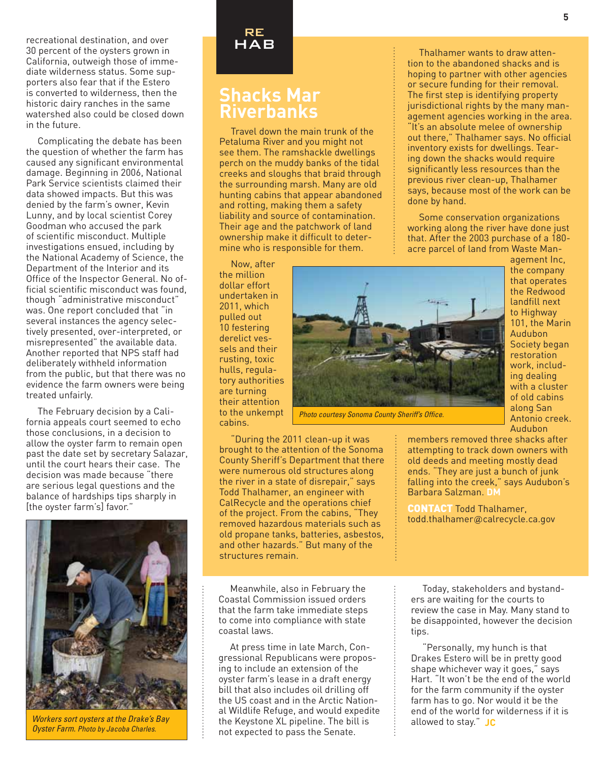recreational destination, and over 30 percent of the oysters grown in California, outweigh those of immediate wilderness status. Some supporters also fear that if the Estero is converted to wilderness, then the historic dairy ranches in the same watershed also could be closed down in the future.

Complicating the debate has been the question of whether the farm has caused any significant environmental damage. Beginning in 2006, National Park Service scientists claimed their data showed impacts. But this was denied by the farm's owner, Kevin Lunny, and by local scientist Corey Goodman who accused the park of scientific misconduct. Multiple investigations ensued, including by the National Academy of Science, the Department of the Interior and its Office of the Inspector General. No official scientific misconduct was found, though "administrative misconduct" was. One report concluded that "in several instances the agency selectively presented, over-interpreted, or misrepresented" the available data. Another reported that NPS staff had deliberately withheld information from the public, but that there was no evidence the farm owners were being treated unfairly.

The February decision by a California appeals court seemed to echo those conclusions, in a decision to allow the oyster farm to remain open past the date set by secretary Salazar, until the court hears their case. The decision was made because "there are serious legal questions and the balance of hardships tips sharply in [the oyster farm's] favor."



*Workers sort oysters at the Drake's Bay Oyster Farm. Photo by Jacoba Charles.* 



# **Shacks Mar Riverbanks**

Travel down the main trunk of the Petaluma River and you might not see them. The ramshackle dwellings perch on the muddy banks of the tidal creeks and sloughs that braid through the surrounding marsh. Many are old hunting cabins that appear abandoned and rotting, making them a safety liability and source of contamination. Their age and the patchwork of land ownership make it difficult to determine who is responsible for them.

Now, after the million dollar effort undertaken in 2011, which pulled out 10 festering derelict vessels and their rusting, toxic hulls, regulatory authorities are turning their attention to the unkempt cabins.

"During the 2011 clean-up it was brought to the attention of the Sonoma County Sheriff's Department that there were numerous old structures along the river in a state of disrepair," says Todd Thalhamer, an engineer with CalRecycle and the operations chief of the project. From the cabins, "They removed hazardous materials such as old propane tanks, batteries, asbestos, and other hazards." But many of the structures remain.

Meanwhile, also in February the Coastal Commission issued orders that the farm take immediate steps to come into compliance with state coastal laws.

At press time in late March, Congressional Republicans were proposing to include an extension of the oyster farm's lease in a draft energy bill that also includes oil drilling off the US coast and in the Arctic National Wildlife Refuge, and would expedite the Keystone XL pipeline. The bill is not expected to pass the Senate.

Thalhamer wants to draw attention to the abandoned shacks and is hoping to partner with other agencies or secure funding for their removal. The first step is identifying property jurisdictional rights by the many management agencies working in the area. "It's an absolute melee of ownership out there," Thalhamer says. No official inventory exists for dwellings. Tearing down the shacks would require significantly less resources than the previous river clean-up, Thalhamer says, because most of the work can be done by hand.

**5**

Some conservation organizations working along the river have done just that. After the 2003 purchase of a 180 acre parcel of land from Waste Man-



members removed three shacks after attempting to track down owners with old deeds and meeting mostly dead ends. "They are just a bunch of junk falling into the creek," says Audubon's Barbara Salzman. **DM**

CONTACT Todd Thalhamer, todd.thalhamer@calrecycle.ca.gov

Today, stakeholders and bystanders are waiting for the courts to review the case in May. Many stand to be disappointed, however the decision tips.

"Personally, my hunch is that Drakes Estero will be in pretty good shape whichever way it goes," says Hart. "It won't be the end of the world for the farm community if the oyster farm has to go. Nor would it be the end of the world for wilderness if it is allowed to stay." **JC**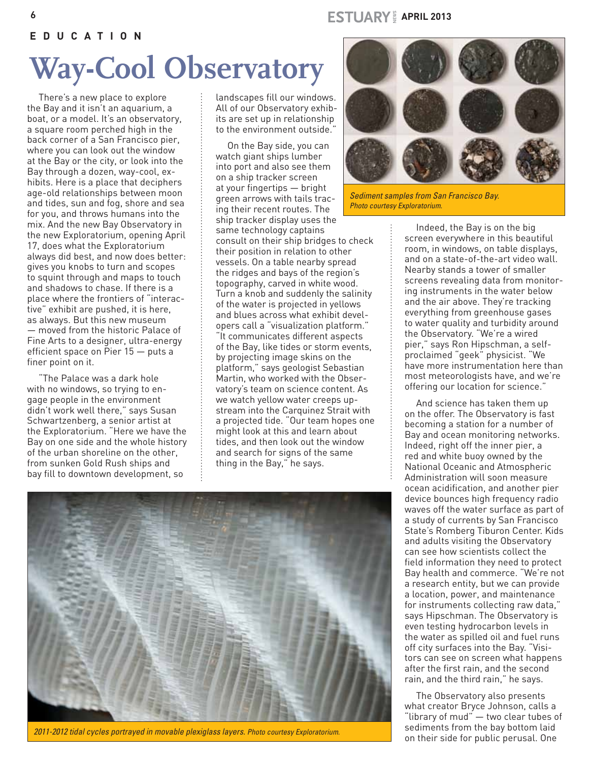### $ESTUARY$ <sup>§</sup> APRIL 2013

**e d u cation**

# **Way-Cool Observatory**

There's a new place to explore the Bay and it isn't an aquarium, a boat, or a model. It's an observatory, a square room perched high in the back corner of a San Francisco pier, where you can look out the window at the Bay or the city, or look into the Bay through a dozen, way-cool, exhibits. Here is a place that deciphers age-old relationships between moon and tides, sun and fog, shore and sea for you, and throws humans into the mix. And the new Bay Observatory in the new Exploratorium, opening April 17, does what the Exploratorium always did best, and now does better: gives you knobs to turn and scopes to squint through and maps to touch and shadows to chase. If there is a place where the frontiers of "interactive" exhibit are pushed, it is here, as always. But this new museum — moved from the historic Palace of Fine Arts to a designer, ultra-energy efficient space on Pier 15 — puts a finer point on it.

"The Palace was a dark hole with no windows, so trying to engage people in the environment didn't work well there," says Susan Schwartzenberg, a senior artist at the Exploratorium. "Here we have the Bay on one side and the whole history of the urban shoreline on the other, from sunken Gold Rush ships and bay fill to downtown development, so

landscapes fill our windows. All of our Observatory exhibits are set up in relationship to the environment outside."

On the Bay side, you can watch giant ships lumber into port and also see them on a ship tracker screen at your fingertips — bright green arrows with tails tracing their recent routes. The ship tracker display uses the same technology captains consult on their ship bridges to check their position in relation to other vessels. On a table nearby spread the ridges and bays of the region's topography, carved in white wood. Turn a knob and suddenly the salinity of the water is projected in yellows and blues across what exhibit developers call a "visualization platform."

It communicates different aspects of the Bay, like tides or storm events, by projecting image skins on the platform," says geologist Sebastian Martin, who worked with the Observatory's team on science content. As we watch yellow water creeps upstream into the Carquinez Strait with a projected tide. "Our team hopes one might look at this and learn about tides, and then look out the window and search for signs of the same thing in the Bay," he says.



*2011-2012 tidal cycles portrayed in movable plexiglass layers. Photo courtesy Exploratorium.* 



*Sediment samples from San Francisco Bay. Photo courtesy Exploratorium.* 

Indeed, the Bay is on the big screen everywhere in this beautiful room, in windows, on table displays, and on a state-of-the-art video wall. Nearby stands a tower of smaller screens revealing data from monitoring instruments in the water below and the air above. They're tracking everything from greenhouse gases to water quality and turbidity around the Observatory. "We're a wired pier," says Ron Hipschman, a selfproclaimed "geek" physicist. "We have more instrumentation here than most meteorologists have, and we're offering our location for science."

And science has taken them up on the offer. The Observatory is fast becoming a station for a number of Bay and ocean monitoring networks. Indeed, right off the inner pier, a red and white buoy owned by the National Oceanic and Atmospheric Administration will soon measure ocean acidification, and another pier device bounces high frequency radio waves off the water surface as part of a study of currents by San Francisco State's Romberg Tiburon Center. Kids and adults visiting the Observatory can see how scientists collect the field information they need to protect Bay health and commerce. "We're not a research entity, but we can provide a location, power, and maintenance for instruments collecting raw data," says Hipschman. The Observatory is even testing hydrocarbon levels in the water as spilled oil and fuel runs off city surfaces into the Bay. "Visitors can see on screen what happens after the first rain, and the second rain, and the third rain," he says.

The Observatory also presents what creator Bryce Johnson, calls a "library of mud" — two clear tubes of sediments from the bay bottom laid on their side for public perusal. One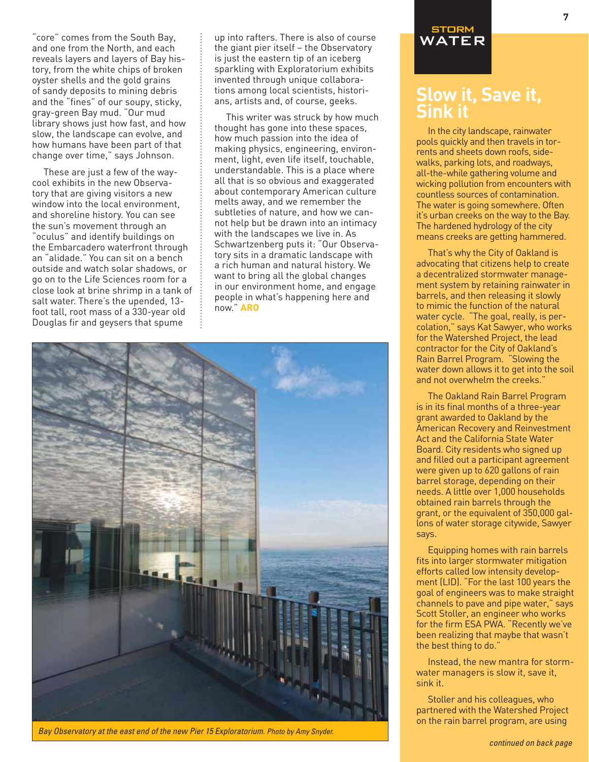"core" comes from the South Bay, and one from the North, and each reveals layers and layers of Bay history, from the white chips of broken oyster shells and the gold grains of sandy deposits to mining debris and the "fines" of our soupy, sticky, gray-green Bay mud. "Our mud library shows just how fast, and how slow, the landscape can evolve, and how humans have been part of that change over time," says Johnson.

These are just a few of the waycool exhibits in the new Observatory that are giving visitors a new window into the local environment, and shoreline history. You can see the sun's movement through an "oculus" and identify buildings on the Embarcadero waterfront through an "alidade." You can sit on a bench outside and watch solar shadows, or go on to the Life Sciences room for a close look at brine shrimp in a tank of salt water. There's the upended, 13 foot tall, root mass of a 330-year old Douglas fir and geysers that spume

up into rafters. There is also of course the giant pier itself – the Observatory is just the eastern tip of an iceberg sparkling with Exploratorium exhibits invented through unique collaborations among local scientists, historians, artists and, of course, geeks.

This writer was struck by how much thought has gone into these spaces, how much passion into the idea of making physics, engineering, environment, light, even life itself, touchable, understandable. This is a place where all that is so obvious and exaggerated about contemporary American culture melts away, and we remember the subtleties of nature, and how we cannot help but be drawn into an intimacy with the landscapes we live in. As Schwartzenberg puts it: "Our Observatory sits in a dramatic landscape with a rich human and natural history. We want to bring all the global changes in our environment home, and engage people in what's happening here and now." **ARO**



*Bay Observatory at the east end of the new Pier 15 Exploratorium. Photo by Amy Snyder.*

### **TORM** WATER

# **Slow it, Save it, Sink it**

In the city landscape, rainwater pools quickly and then travels in torrents and sheets down roofs, sidewalks, parking lots, and roadways, all-the-while gathering volume and wicking pollution from encounters with countless sources of contamination. The water is going somewhere. Often it's urban creeks on the way to the Bay. The hardened hydrology of the city means creeks are getting hammered.

That's why the City of Oakland is advocating that citizens help to create a decentralized stormwater management system by retaining rainwater in barrels, and then releasing it slowly to mimic the function of the natural water cycle. "The goal, really, is percolation," says Kat Sawyer, who works for the Watershed Project, the lead contractor for the City of Oakland's Rain Barrel Program. "Slowing the water down allows it to get into the soil and not overwhelm the creeks."

The Oakland Rain Barrel Program is in its final months of a three-year grant awarded to Oakland by the American Recovery and Reinvestment Act and the California State Water Board. City residents who signed up and filled out a participant agreement were given up to 620 gallons of rain barrel storage, depending on their needs. A little over 1,000 households obtained rain barrels through the grant, or the equivalent of 350,000 gallons of water storage citywide, Sawyer says.

Equipping homes with rain barrels fits into larger stormwater mitigation efforts called low intensity development (LID). "For the last 100 years the goal of engineers was to make straight channels to pave and pipe water," says Scott Stoller, an engineer who works for the firm ESA PWA. "Recently we've been realizing that maybe that wasn't the best thing to do."

Instead, the new mantra for stormwater managers is slow it, save it, sink it.

Stoller and his colleagues, who partnered with the Watershed Project on the rain barrel program, are using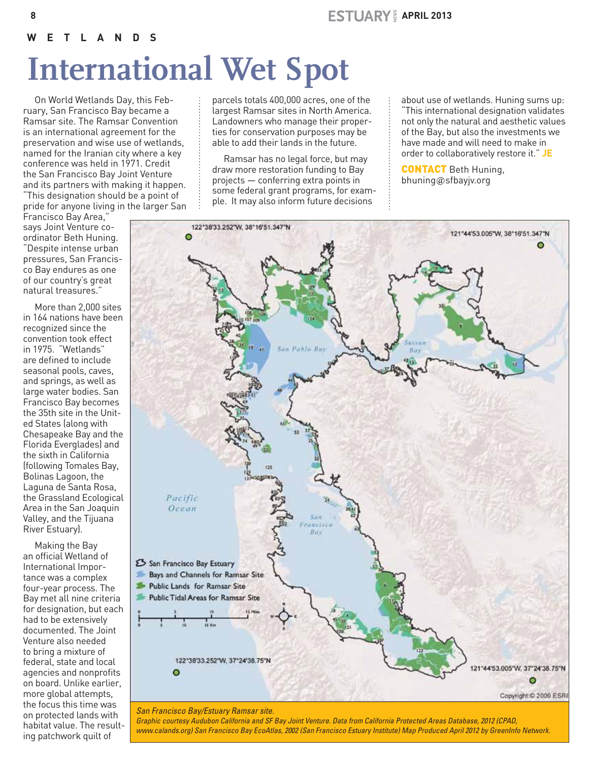**w e tlands**

# **International Wet Spot**

On World Wetlands Day, this February, San Francisco Bay became a Ramsar site. The Ramsar Convention is an international agreement for the preservation and wise use of wetlands, named for the Iranian city where a key conference was held in 1971. Credit the San Francisco Bay Joint Venture and its partners with making it happen. "This designation should be a point of pride for anyone living in the larger San

Francisco Bay Area," says Joint Venture coordinator Beth Huning. "Despite intense urban pressures, San Francisco Bay endures as one of our country's great natural treasures."

More than 2,000 sites in 164 nations have been recognized since the convention took effect in 1975. "Wetlands" are defined to include seasonal pools, caves, and springs, as well as large water bodies. San Francisco Bay becomes the 35th site in the United States (along with Chesapeake Bay and the Florida Everglades) and the sixth in California (following Tomales Bay, Bolinas Lagoon, the Laguna de Santa Rosa, the Grassland Ecological Area in the San Joaquin Valley, and the Tijuana River Estuary).

Making the Bay an official Wetland of International Importance was a complex four-year process. The Bay met all nine criteria for designation, but each had to be extensively documented. The Joint Venture also needed to bring a mixture of federal, state and local agencies and nonprofits on board. Unlike earlier, more global attempts, the focus this time was on protected lands with habitat value. The resulting patchwork quilt of

parcels totals 400,000 acres, one of the largest Ramsar sites in North America. Landowners who manage their properties for conservation purposes may be able to add their lands in the future.

Ramsar has no legal force, but may draw more restoration funding to Bay projects — conferring extra points in some federal grant programs, for example. It may also inform future decisions

about use of wetlands. Huning sums up: "This international designation validates not only the natural and aesthetic values of the Bay, but also the investments we have made and will need to make in order to collaboratively restore it." **JE**

**CONTACT** Beth Huning, bhuning@sfbayjv.org



*San Francisco Bay/Estuary Ramsar site.* 

*Graphic courtesy Audubon California and SF Bay Joint Venture. Data from California Protected Areas Database, 2012 (CPAD, www.calands.org) San Francisco Bay EcoAtlas, 2002 (San Francisco Estuary Institute) Map Produced April 2012 by GreenInfo Network.*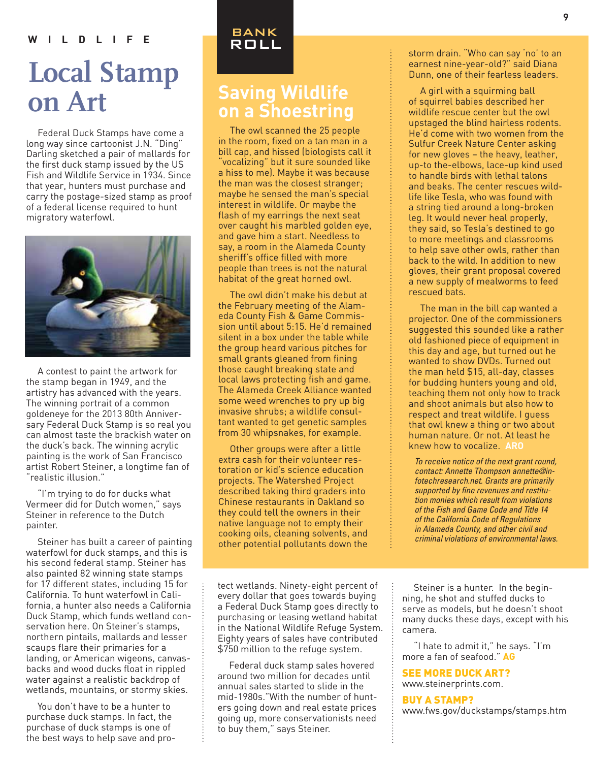### **wildlif e**

# **Local Stamp on Art**

Federal Duck Stamps have come a long way since cartoonist J.N. "Ding" Darling sketched a pair of mallards for the first duck stamp issued by the US Fish and Wildlife Service in 1934. Since that year, hunters must purchase and carry the postage-sized stamp as proof of a federal license required to hunt migratory waterfowl.



A contest to paint the artwork for the stamp began in 1949, and the artistry has advanced with the years. The winning portrait of a common goldeneye for the 2013 80th Anniversary Federal Duck Stamp is so real you can almost taste the brackish water on the duck's back. The winning acrylic painting is the work of San Francisco artist Robert Steiner, a longtime fan of "realistic illusion."

"I'm trying to do for ducks what Vermeer did for Dutch women," says Steiner in reference to the Dutch painter.

Steiner has built a career of painting waterfowl for duck stamps, and this is his second federal stamp. Steiner has also painted 82 winning state stamps for 17 different states, including 15 for California. To hunt waterfowl in California, a hunter also needs a California Duck Stamp, which funds wetland conservation here. On Steiner's stamps, northern pintails, mallards and lesser scaups flare their primaries for a landing, or American wigeons, canvasbacks and wood ducks float in rippled water against a realistic backdrop of wetlands, mountains, or stormy skies.

You don't have to be a hunter to purchase duck stamps. In fact, the purchase of duck stamps is one of the best ways to help save and pro-

## BANK ROLL

# **Saving Wildlife on a Shoestring**

The owl scanned the 25 people in the room, fixed on a tan man in a bill cap, and hissed (biologists call it "vocalizing" but it sure sounded like a hiss to me). Maybe it was because the man was the closest stranger; maybe he sensed the man's special interest in wildlife. Or maybe the flash of my earrings the next seat over caught his marbled golden eye, and gave him a start. Needless to say, a room in the Alameda County sheriff's office filled with more people than trees is not the natural habitat of the great horned owl.

The owl didn't make his debut at the February meeting of the Alameda County Fish & Game Commission until about 5:15. He'd remained silent in a box under the table while the group heard various pitches for small grants gleaned from fining those caught breaking state and local laws protecting fish and game. The Alameda Creek Alliance wanted some weed wrenches to pry up big invasive shrubs; a wildlife consultant wanted to get genetic samples from 30 whipsnakes, for example.

Other groups were after a little extra cash for their volunteer restoration or kid's science education projects. The Watershed Project described taking third graders into Chinese restaurants in Oakland so they could tell the owners in their native language not to empty their cooking oils, cleaning solvents, and other potential pollutants down the

tect wetlands. Ninety-eight percent of every dollar that goes towards buying a Federal Duck Stamp goes directly to purchasing or leasing wetland habitat in the National Wildlife Refuge System. Eighty years of sales have contributed \$750 million to the refuge system.

Federal duck stamp sales hovered around two million for decades until annual sales started to slide in the mid-1980s."With the number of hunters going down and real estate prices going up, more conservationists need to buy them," says Steiner.

storm drain. "Who can say 'no' to an earnest nine-year-old?" said Diana Dunn, one of their fearless leaders.

A girl with a squirming ball of squirrel babies described her wildlife rescue center but the owl upstaged the blind hairless rodents. He'd come with two women from the Sulfur Creek Nature Center asking for new gloves – the heavy, leather, up-to the-elbows, lace-up kind used to handle birds with lethal talons and beaks. The center rescues wildlife like Tesla, who was found with a string tied around a long-broken leg. It would never heal properly, they said, so Tesla's destined to go to more meetings and classrooms to help save other owls, rather than back to the wild. In addition to new gloves, their grant proposal covered a new supply of mealworms to feed rescued bats.

The man in the bill cap wanted a projector. One of the commissioners suggested this sounded like a rather old fashioned piece of equipment in this day and age, but turned out he wanted to show DVDs. Turned out the man held \$15, all-day, classes for budding hunters young and old, teaching them not only how to track and shoot animals but also how to respect and treat wildlife. I guess that owl knew a thing or two about human nature. Or not. At least he knew how to vocalize. **ARO**

*To receive notice of the next grant round, contact: Annette Thompson annette@infotechresearch.net. Grants are primarily supported by fine revenues and restitution monies which result from violations of the Fish and Game Code and Title 14 of the California Code of Regulations in Alameda County, and other civil and criminal violations of environmental laws.*

Steiner is a hunter. In the beginning, he shot and stuffed ducks to serve as models, but he doesn't shoot many ducks these days, except with his camera.

"I hate to admit it," he says. "I'm more a fan of seafood." **AG**

# **SEE MORE DUCK ART?**

www.steinerprints.com.

Buy a Stamp? www.fws.gov/duckstamps/stamps.htm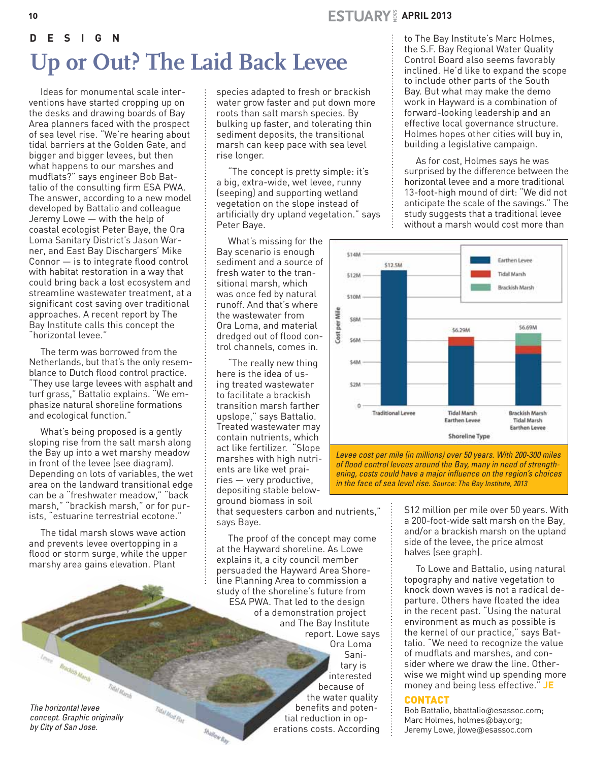### **ESTUARY APRIL 2013**

#### **d e sign**

# **Up or Out? The Laid Back Levee**

Ideas for monumental scale interventions have started cropping up on the desks and drawing boards of Bay Area planners faced with the prospect of sea level rise. "We're hearing about tidal barriers at the Golden Gate, and bigger and bigger levees, but then what happens to our marshes and mudflats?" says engineer Bob Battalio of the consulting firm ESA PWA. The answer, according to a new model developed by Battalio and colleague Jeremy Lowe — with the help of coastal ecologist Peter Baye, the Ora Loma Sanitary District's Jason Warner, and East Bay Dischargers' Mike Connor — is to integrate flood control with habitat restoration in a way that could bring back a lost ecosystem and streamline wastewater treatment, at a significant cost saving over traditional approaches. A recent report by The Bay Institute calls this concept the "horizontal levee."

The term was borrowed from the Netherlands, but that's the only resemblance to Dutch flood control practice. "They use large levees with asphalt and turf grass," Battalio explains. "We emphasize natural shoreline formations and ecological function."

What's being proposed is a gently sloping rise from the salt marsh along the Bay up into a wet marshy meadow in front of the levee (see diagram). Depending on lots of variables, the wet area on the landward transitional edge can be a "freshwater meadow," "back marsh," "brackish marsh," or for purists, "estuarine terrestrial ecotone."

The tidal marsh slows wave action and prevents levee overtopping in a flood or storm surge, while the upper marshy area gains elevation. Plant

Tidal Maria

Tidal Mod File

Shallow Bay

*The horizontal levee concept. Graphic originally by City of San Jose.*

Brackinh Marsh

species adapted to fresh or brackish water grow faster and put down more roots than salt marsh species. By bulking up faster, and tolerating thin sediment deposits, the transitional marsh can keep pace with sea level rise longer.

"The concept is pretty simple: it's a big, extra-wide, wet levee, runny (seeping) and supporting wetland vegetation on the slope instead of artificially dry upland vegetation." says Peter Baye.

What's missing for the Bay scenario is enough sediment and a source of fresh water to the transitional marsh, which was once fed by natural runoff. And that's where the wastewater from Ora Loma, and material dredged out of flood control channels, comes in.

"The really new thing here is the idea of using treated wastewater to facilitate a brackish transition marsh farther upslope," says Battalio. Treated wastewater may contain nutrients, which act like fertilizer. "Slope marshes with high nutrients are like wet prairies — very productive, depositing stable belowground biomass in soil

that sequesters carbon and nutrients," says Baye.

The proof of the concept may come at the Hayward shoreline. As Lowe explains it, a city council member persuaded the Hayward Area Shoreline Planning Area to commission a study of the shoreline's future from ESA PWA. That led to the design of a demonstration project and The Bay Institute report. Lowe says Ora Loma Sanitary is interested because of the water quality benefits and potential reduction in operations costs. According to The Bay Institute's Marc Holmes, the S.F. Bay Regional Water Quality Control Board also seems favorably inclined. He'd like to expand the scope to include other parts of the South Bay. But what may make the demo work in Hayward is a combination of forward-looking leadership and an effective local governance structure. Holmes hopes other cities will buy in, building a legislative campaign.

As for cost, Holmes says he was surprised by the difference between the horizontal levee and a more traditional 13-foot-high mound of dirt: "We did not anticipate the scale of the savings." The study suggests that a traditional levee without a marsh would cost more than



*Levee cost per mile (in millions) over 50 years. With 200-300 miles of flood control levees around the Bay, many in need of strengthening, costs could have a major influence on the region's choices in the face of sea level rise. Source: The Bay Institute, 2013*

> \$12 million per mile over 50 years. With a 200-foot-wide salt marsh on the Bay, and/or a brackish marsh on the upland side of the levee, the price almost halves (see graph).

> To Lowe and Battalio, using natural topography and native vegetation to knock down waves is not a radical departure. Others have floated the idea in the recent past. "Using the natural environment as much as possible is the kernel of our practice," says Battalio. "We need to recognize the value of mudflats and marshes, and consider where we draw the line. Otherwise we might wind up spending more money and being less effective." **JE**

#### Contact

Bob Battalio, bbattalio@esassoc.com; Marc Holmes, holmes@bay.org; Jeremy Lowe, jlowe@esassoc.com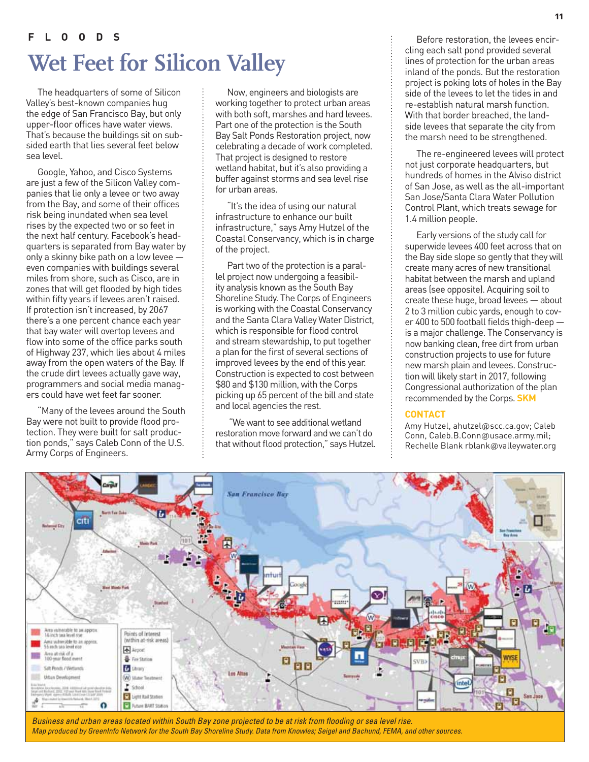The headquarters of some of Silicon Valley's best-known companies hug the edge of San Francisco Bay, but only upper-floor offices have water views. That's because the buildings sit on subsided earth that lies several feet below sea level.

Google, Yahoo, and Cisco Systems are just a few of the Silicon Valley companies that lie only a levee or two away from the Bay, and some of their offices risk being inundated when sea level rises by the expected two or so feet in the next half century. Facebook's headquarters is separated from Bay water by only a skinny bike path on a low levee even companies with buildings several miles from shore, such as Cisco, are in zones that will get flooded by high tides within fifty years if levees aren't raised. If protection isn't increased, by 2067 there's a one percent chance each year that bay water will overtop levees and flow into some of the office parks south of Highway 237, which lies about 4 miles away from the open waters of the Bay. If the crude dirt levees actually gave way, programmers and social media managers could have wet feet far sooner.

"Many of the levees around the South Bay were not built to provide flood protection. They were built for salt production ponds," says Caleb Conn of the U.S. Army Corps of Engineers.

Now, engineers and biologists are working together to protect urban areas with both soft, marshes and hard levees. Part one of the protection is the South Bay Salt Ponds Restoration project, now celebrating a decade of work completed. That project is designed to restore wetland habitat, but it's also providing a buffer against storms and sea level rise for urban areas.

"It's the idea of using our natural infrastructure to enhance our built infrastructure," says Amy Hutzel of the Coastal Conservancy, which is in charge of the project.

Part two of the protection is a parallel project now undergoing a feasibility analysis known as the South Bay Shoreline Study. The Corps of Engineers is working with the Coastal Conservancy and the Santa Clara Valley Water District, which is responsible for flood control and stream stewardship, to put together a plan for the first of several sections of improved levees by the end of this year. Construction is expected to cost between \$80 and \$130 million, with the Corps picking up 65 percent of the bill and state and local agencies the rest.

 "We want to see additional wetland restoration move forward and we can't do that without flood protection," says Hutzel.

Before restoration, the levees encircling each salt pond provided several lines of protection for the urban areas inland of the ponds. But the restoration project is poking lots of holes in the Bay side of the levees to let the tides in and re-establish natural marsh function. With that border breached, the landside levees that separate the city from the marsh need to be strengthened.

The re-engineered levees will protect not just corporate headquarters, but hundreds of homes in the Alviso district of San Jose, as well as the all-important San Jose/Santa Clara Water Pollution Control Plant, which treats sewage for 1.4 million people.

Early versions of the study call for superwide levees 400 feet across that on the Bay side slope so gently that they will create many acres of new transitional habitat between the marsh and upland areas (see opposite). Acquiring soil to create these huge, broad levees — about 2 to 3 million cubic yards, enough to cover 400 to 500 football fields thigh-deep is a major challenge. The Conservancy is now banking clean, free dirt from urban construction projects to use for future new marsh plain and levees. Construction will likely start in 2017, following Congressional authorization of the plan recommended by the Corps. **SKM**

#### **CONTACT**

Amy Hutzel, ahutzel@scc.ca.gov; Caleb Conn, Caleb.B.Conn@usace.army.mil; Rechelle Blank rblank@valleywater.org



*Business and urban areas located within South Bay zone projected to be at risk from flooding or sea level rise. Map produced by GreenInfo Network for the South Bay Shoreline Study. Data from Knowles; Seigel and Bachund, FEMA, and other sources.*